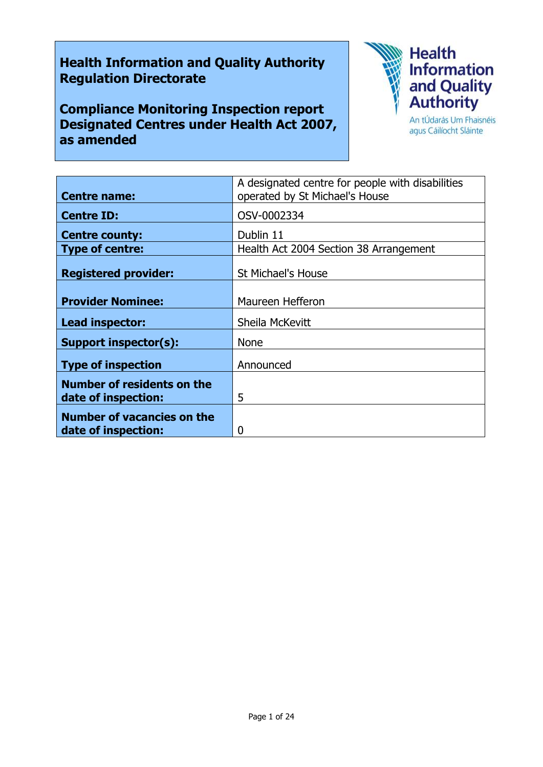# **Health Information and Quality Authority Regulation Directorate**

**Compliance Monitoring Inspection report Designated Centres under Health Act 2007, as amended**



agus Cáilíocht Sláinte

| <b>Centre name:</b>                                      | A designated centre for people with disabilities<br>operated by St Michael's House |
|----------------------------------------------------------|------------------------------------------------------------------------------------|
| <b>Centre ID:</b>                                        | OSV-0002334                                                                        |
| <b>Centre county:</b>                                    | Dublin 11                                                                          |
| <b>Type of centre:</b>                                   | Health Act 2004 Section 38 Arrangement                                             |
| <b>Registered provider:</b>                              | <b>St Michael's House</b>                                                          |
| <b>Provider Nominee:</b>                                 | Maureen Hefferon                                                                   |
| Lead inspector:                                          | Sheila McKevitt                                                                    |
| <b>Support inspector(s):</b>                             | <b>None</b>                                                                        |
| <b>Type of inspection</b>                                | Announced                                                                          |
| <b>Number of residents on the</b><br>date of inspection: | 5                                                                                  |
| <b>Number of vacancies on the</b><br>date of inspection: | 0                                                                                  |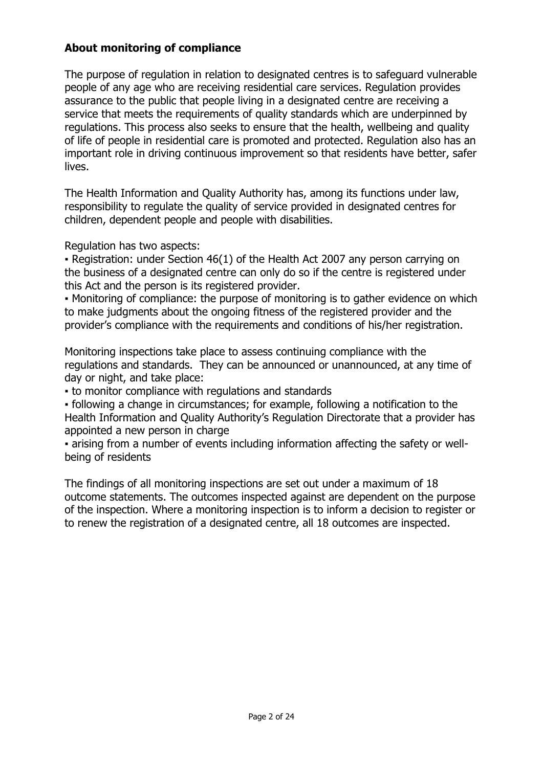## **About monitoring of compliance**

The purpose of regulation in relation to designated centres is to safeguard vulnerable people of any age who are receiving residential care services. Regulation provides assurance to the public that people living in a designated centre are receiving a service that meets the requirements of quality standards which are underpinned by regulations. This process also seeks to ensure that the health, wellbeing and quality of life of people in residential care is promoted and protected. Regulation also has an important role in driving continuous improvement so that residents have better, safer lives.

The Health Information and Quality Authority has, among its functions under law, responsibility to regulate the quality of service provided in designated centres for children, dependent people and people with disabilities.

Regulation has two aspects:

• Registration: under Section 46(1) of the Health Act 2007 any person carrying on the business of a designated centre can only do so if the centre is registered under this Act and the person is its registered provider.

▪ Monitoring of compliance: the purpose of monitoring is to gather evidence on which to make judgments about the ongoing fitness of the registered provider and the provider's compliance with the requirements and conditions of his/her registration.

Monitoring inspections take place to assess continuing compliance with the regulations and standards. They can be announced or unannounced, at any time of day or night, and take place:

▪ to monitor compliance with regulations and standards

▪ following a change in circumstances; for example, following a notification to the Health Information and Quality Authority's Regulation Directorate that a provider has appointed a new person in charge

▪ arising from a number of events including information affecting the safety or wellbeing of residents

The findings of all monitoring inspections are set out under a maximum of 18 outcome statements. The outcomes inspected against are dependent on the purpose of the inspection. Where a monitoring inspection is to inform a decision to register or to renew the registration of a designated centre, all 18 outcomes are inspected.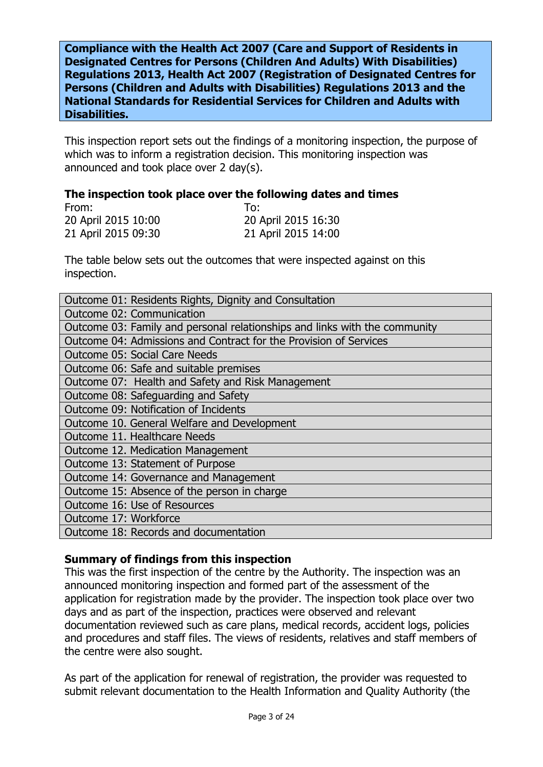**Compliance with the Health Act 2007 (Care and Support of Residents in Designated Centres for Persons (Children And Adults) With Disabilities) Regulations 2013, Health Act 2007 (Registration of Designated Centres for Persons (Children and Adults with Disabilities) Regulations 2013 and the National Standards for Residential Services for Children and Adults with Disabilities.**

This inspection report sets out the findings of a monitoring inspection, the purpose of which was to inform a registration decision. This monitoring inspection was announced and took place over 2 day(s).

#### **The inspection took place over the following dates and times**

| From:               | To:                 |
|---------------------|---------------------|
| 20 April 2015 10:00 | 20 April 2015 16:30 |
| 21 April 2015 09:30 | 21 April 2015 14:00 |

The table below sets out the outcomes that were inspected against on this inspection.

| Outcome 01: Residents Rights, Dignity and Consultation                     |
|----------------------------------------------------------------------------|
| Outcome 02: Communication                                                  |
| Outcome 03: Family and personal relationships and links with the community |
| Outcome 04: Admissions and Contract for the Provision of Services          |
| <b>Outcome 05: Social Care Needs</b>                                       |
| Outcome 06: Safe and suitable premises                                     |
| Outcome 07: Health and Safety and Risk Management                          |
| Outcome 08: Safeguarding and Safety                                        |
| Outcome 09: Notification of Incidents                                      |
| Outcome 10. General Welfare and Development                                |
| Outcome 11. Healthcare Needs                                               |
| Outcome 12. Medication Management                                          |
| Outcome 13: Statement of Purpose                                           |
| Outcome 14: Governance and Management                                      |
| Outcome 15: Absence of the person in charge                                |
| Outcome 16: Use of Resources                                               |
| Outcome 17: Workforce                                                      |
| Outcome 18: Records and documentation                                      |

### **Summary of findings from this inspection**

This was the first inspection of the centre by the Authority. The inspection was an announced monitoring inspection and formed part of the assessment of the application for registration made by the provider. The inspection took place over two days and as part of the inspection, practices were observed and relevant documentation reviewed such as care plans, medical records, accident logs, policies and procedures and staff files. The views of residents, relatives and staff members of the centre were also sought.

As part of the application for renewal of registration, the provider was requested to submit relevant documentation to the Health Information and Quality Authority (the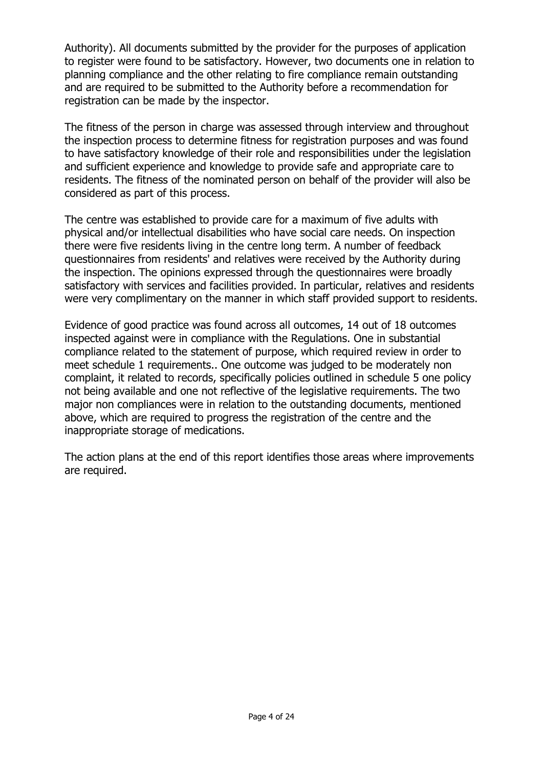Authority). All documents submitted by the provider for the purposes of application to register were found to be satisfactory. However, two documents one in relation to planning compliance and the other relating to fire compliance remain outstanding and are required to be submitted to the Authority before a recommendation for registration can be made by the inspector.

The fitness of the person in charge was assessed through interview and throughout the inspection process to determine fitness for registration purposes and was found to have satisfactory knowledge of their role and responsibilities under the legislation and sufficient experience and knowledge to provide safe and appropriate care to residents. The fitness of the nominated person on behalf of the provider will also be considered as part of this process.

The centre was established to provide care for a maximum of five adults with physical and/or intellectual disabilities who have social care needs. On inspection there were five residents living in the centre long term. A number of feedback questionnaires from residents' and relatives were received by the Authority during the inspection. The opinions expressed through the questionnaires were broadly satisfactory with services and facilities provided. In particular, relatives and residents were very complimentary on the manner in which staff provided support to residents.

Evidence of good practice was found across all outcomes, 14 out of 18 outcomes inspected against were in compliance with the Regulations. One in substantial compliance related to the statement of purpose, which required review in order to meet schedule 1 requirements.. One outcome was judged to be moderately non complaint, it related to records, specifically policies outlined in schedule 5 one policy not being available and one not reflective of the legislative requirements. The two major non compliances were in relation to the outstanding documents, mentioned above, which are required to progress the registration of the centre and the inappropriate storage of medications.

The action plans at the end of this report identifies those areas where improvements are required.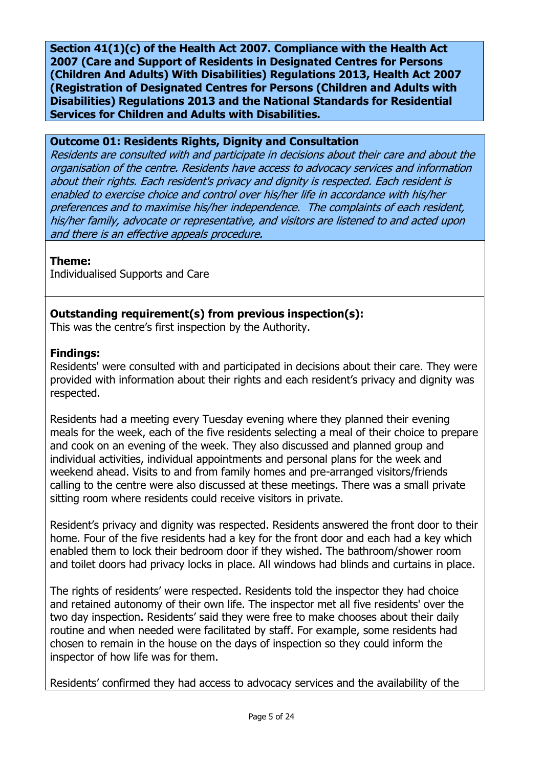**Section 41(1)(c) of the Health Act 2007. Compliance with the Health Act 2007 (Care and Support of Residents in Designated Centres for Persons (Children And Adults) With Disabilities) Regulations 2013, Health Act 2007 (Registration of Designated Centres for Persons (Children and Adults with Disabilities) Regulations 2013 and the National Standards for Residential Services for Children and Adults with Disabilities.**

## **Outcome 01: Residents Rights, Dignity and Consultation**

Residents are consulted with and participate in decisions about their care and about the organisation of the centre. Residents have access to advocacy services and information about their rights. Each resident's privacy and dignity is respected. Each resident is enabled to exercise choice and control over his/her life in accordance with his/her preferences and to maximise his/her independence. The complaints of each resident, his/her family, advocate or representative, and visitors are listened to and acted upon and there is an effective appeals procedure.

# **Theme:**

Individualised Supports and Care

# **Outstanding requirement(s) from previous inspection(s):**

This was the centre's first inspection by the Authority.

## **Findings:**

Residents' were consulted with and participated in decisions about their care. They were provided with information about their rights and each resident's privacy and dignity was respected.

Residents had a meeting every Tuesday evening where they planned their evening meals for the week, each of the five residents selecting a meal of their choice to prepare and cook on an evening of the week. They also discussed and planned group and individual activities, individual appointments and personal plans for the week and weekend ahead. Visits to and from family homes and pre-arranged visitors/friends calling to the centre were also discussed at these meetings. There was a small private sitting room where residents could receive visitors in private.

Resident's privacy and dignity was respected. Residents answered the front door to their home. Four of the five residents had a key for the front door and each had a key which enabled them to lock their bedroom door if they wished. The bathroom/shower room and toilet doors had privacy locks in place. All windows had blinds and curtains in place.

The rights of residents' were respected. Residents told the inspector they had choice and retained autonomy of their own life. The inspector met all five residents' over the two day inspection. Residents' said they were free to make chooses about their daily routine and when needed were facilitated by staff. For example, some residents had chosen to remain in the house on the days of inspection so they could inform the inspector of how life was for them.

Residents' confirmed they had access to advocacy services and the availability of the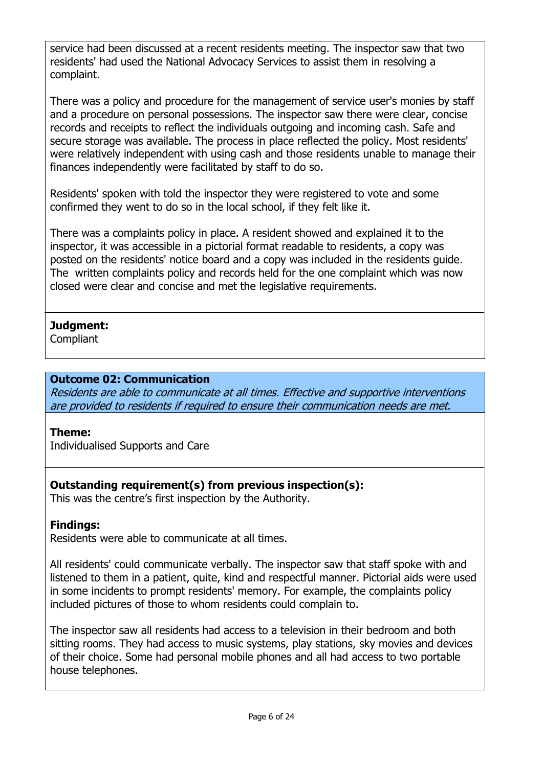service had been discussed at a recent residents meeting. The inspector saw that two residents' had used the National Advocacy Services to assist them in resolving a complaint.

There was a policy and procedure for the management of service user's monies by staff and a procedure on personal possessions. The inspector saw there were clear, concise records and receipts to reflect the individuals outgoing and incoming cash. Safe and secure storage was available. The process in place reflected the policy. Most residents' were relatively independent with using cash and those residents unable to manage their finances independently were facilitated by staff to do so.

Residents' spoken with told the inspector they were registered to vote and some confirmed they went to do so in the local school, if they felt like it.

There was a complaints policy in place. A resident showed and explained it to the inspector, it was accessible in a pictorial format readable to residents, a copy was posted on the residents' notice board and a copy was included in the residents guide. The written complaints policy and records held for the one complaint which was now closed were clear and concise and met the legislative requirements.

# **Judgment:**

**Compliant** 

# **Outcome 02: Communication**

Residents are able to communicate at all times. Effective and supportive interventions are provided to residents if required to ensure their communication needs are met.

# **Theme:**

Individualised Supports and Care

# **Outstanding requirement(s) from previous inspection(s):**

This was the centre's first inspection by the Authority.

# **Findings:**

Residents were able to communicate at all times.

All residents' could communicate verbally. The inspector saw that staff spoke with and listened to them in a patient, quite, kind and respectful manner. Pictorial aids were used in some incidents to prompt residents' memory. For example, the complaints policy included pictures of those to whom residents could complain to.

The inspector saw all residents had access to a television in their bedroom and both sitting rooms. They had access to music systems, play stations, sky movies and devices of their choice. Some had personal mobile phones and all had access to two portable house telephones.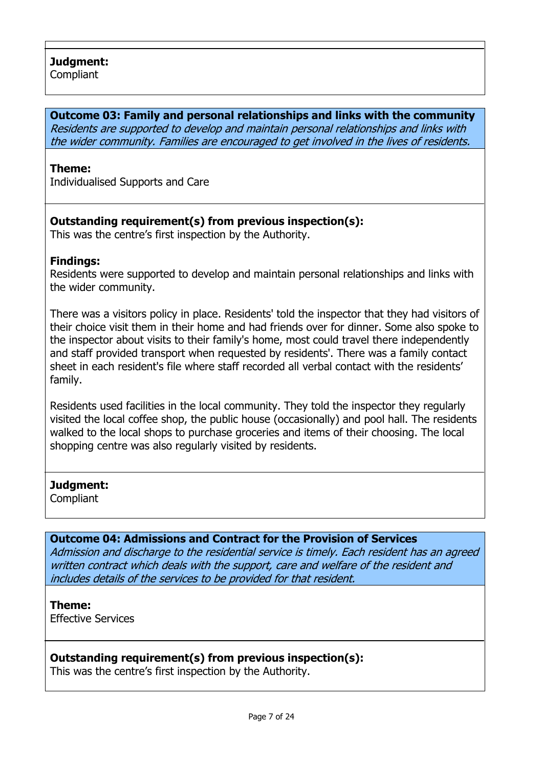**Compliant** 

#### **Outcome 03: Family and personal relationships and links with the community**

Residents are supported to develop and maintain personal relationships and links with the wider community. Families are encouraged to get involved in the lives of residents.

### **Theme:**

Individualised Supports and Care

# **Outstanding requirement(s) from previous inspection(s):**

This was the centre's first inspection by the Authority.

### **Findings:**

Residents were supported to develop and maintain personal relationships and links with the wider community.

There was a visitors policy in place. Residents' told the inspector that they had visitors of their choice visit them in their home and had friends over for dinner. Some also spoke to the inspector about visits to their family's home, most could travel there independently and staff provided transport when requested by residents'. There was a family contact sheet in each resident's file where staff recorded all verbal contact with the residents' family.

Residents used facilities in the local community. They told the inspector they regularly visited the local coffee shop, the public house (occasionally) and pool hall. The residents walked to the local shops to purchase groceries and items of their choosing. The local shopping centre was also regularly visited by residents.

### **Judgment:**

**Compliant** 

### **Outcome 04: Admissions and Contract for the Provision of Services**

Admission and discharge to the residential service is timely. Each resident has an agreed written contract which deals with the support, care and welfare of the resident and includes details of the services to be provided for that resident.

## **Theme:**

Effective Services

# **Outstanding requirement(s) from previous inspection(s):**

This was the centre's first inspection by the Authority.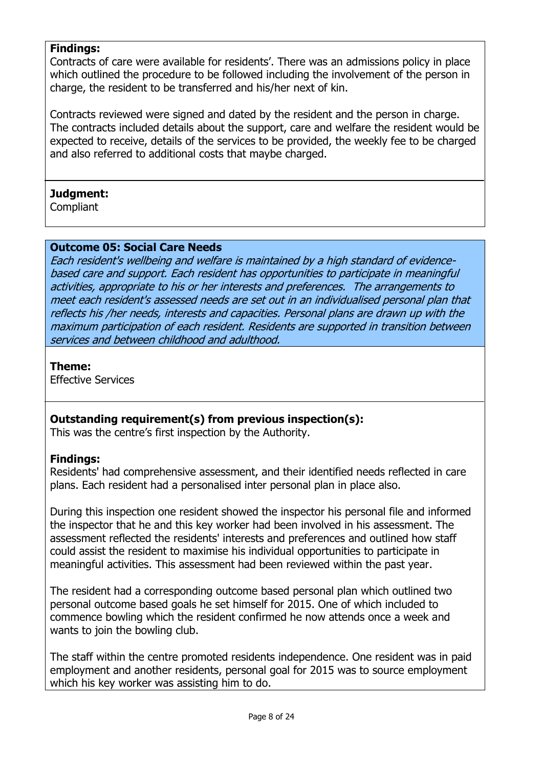## **Findings:**

Contracts of care were available for residents'. There was an admissions policy in place which outlined the procedure to be followed including the involvement of the person in charge, the resident to be transferred and his/her next of kin.

Contracts reviewed were signed and dated by the resident and the person in charge. The contracts included details about the support, care and welfare the resident would be expected to receive, details of the services to be provided, the weekly fee to be charged and also referred to additional costs that maybe charged.

## **Judgment:**

**Compliant** 

### **Outcome 05: Social Care Needs**

Each resident's wellbeing and welfare is maintained by a high standard of evidencebased care and support. Each resident has opportunities to participate in meaningful activities, appropriate to his or her interests and preferences. The arrangements to meet each resident's assessed needs are set out in an individualised personal plan that reflects his /her needs, interests and capacities. Personal plans are drawn up with the maximum participation of each resident. Residents are supported in transition between services and between childhood and adulthood.

### **Theme:**

Effective Services

### **Outstanding requirement(s) from previous inspection(s):**

This was the centre's first inspection by the Authority.

### **Findings:**

Residents' had comprehensive assessment, and their identified needs reflected in care plans. Each resident had a personalised inter personal plan in place also.

During this inspection one resident showed the inspector his personal file and informed the inspector that he and this key worker had been involved in his assessment. The assessment reflected the residents' interests and preferences and outlined how staff could assist the resident to maximise his individual opportunities to participate in meaningful activities. This assessment had been reviewed within the past year.

The resident had a corresponding outcome based personal plan which outlined two personal outcome based goals he set himself for 2015. One of which included to commence bowling which the resident confirmed he now attends once a week and wants to join the bowling club.

The staff within the centre promoted residents independence. One resident was in paid employment and another residents, personal goal for 2015 was to source employment which his key worker was assisting him to do.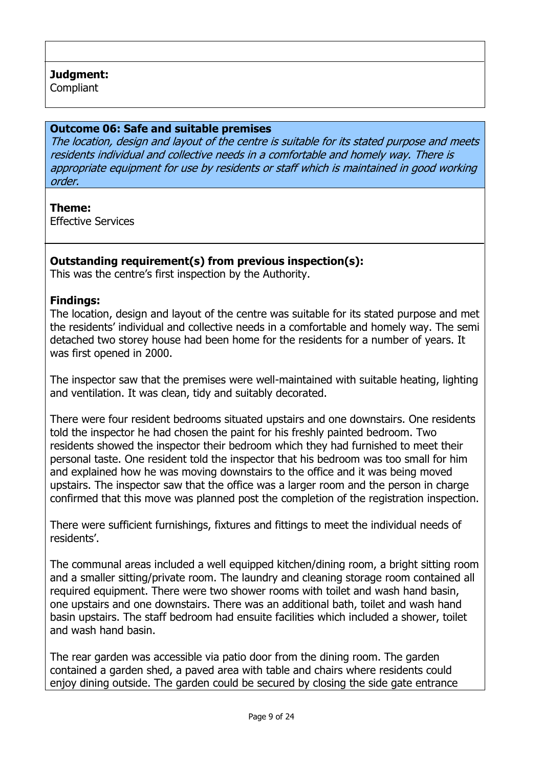# **Judgment:**

**Compliant** 

### **Outcome 06: Safe and suitable premises**

The location, design and layout of the centre is suitable for its stated purpose and meets residents individual and collective needs in a comfortable and homely way. There is appropriate equipment for use by residents or staff which is maintained in good working order.

### **Theme:**

Effective Services

## **Outstanding requirement(s) from previous inspection(s):**

This was the centre's first inspection by the Authority.

### **Findings:**

The location, design and layout of the centre was suitable for its stated purpose and met the residents' individual and collective needs in a comfortable and homely way. The semi detached two storey house had been home for the residents for a number of years. It was first opened in 2000.

The inspector saw that the premises were well-maintained with suitable heating, lighting and ventilation. It was clean, tidy and suitably decorated.

There were four resident bedrooms situated upstairs and one downstairs. One residents told the inspector he had chosen the paint for his freshly painted bedroom. Two residents showed the inspector their bedroom which they had furnished to meet their personal taste. One resident told the inspector that his bedroom was too small for him and explained how he was moving downstairs to the office and it was being moved upstairs. The inspector saw that the office was a larger room and the person in charge confirmed that this move was planned post the completion of the registration inspection.

There were sufficient furnishings, fixtures and fittings to meet the individual needs of residents'.

The communal areas included a well equipped kitchen/dining room, a bright sitting room and a smaller sitting/private room. The laundry and cleaning storage room contained all required equipment. There were two shower rooms with toilet and wash hand basin, one upstairs and one downstairs. There was an additional bath, toilet and wash hand basin upstairs. The staff bedroom had ensuite facilities which included a shower, toilet and wash hand basin.

The rear garden was accessible via patio door from the dining room. The garden contained a garden shed, a paved area with table and chairs where residents could enjoy dining outside. The garden could be secured by closing the side gate entrance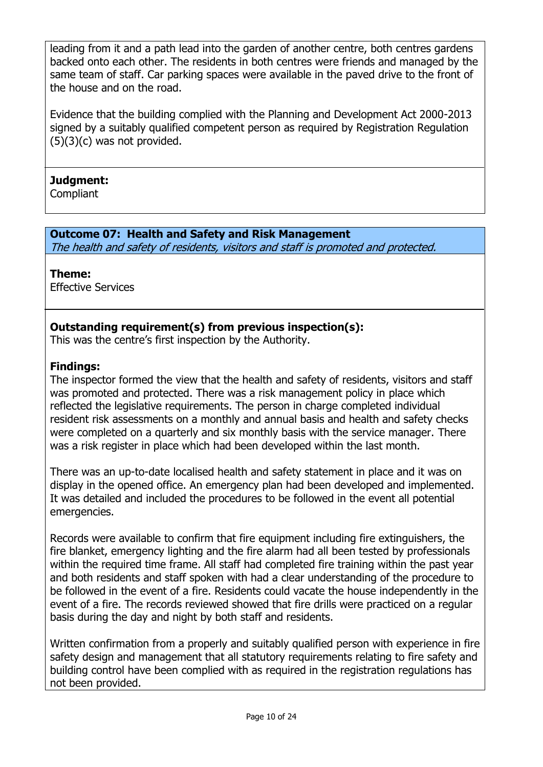leading from it and a path lead into the garden of another centre, both centres gardens backed onto each other. The residents in both centres were friends and managed by the same team of staff. Car parking spaces were available in the paved drive to the front of the house and on the road.

Evidence that the building complied with the Planning and Development Act 2000-2013 signed by a suitably qualified competent person as required by Registration Regulation (5)(3)(c) was not provided.

## **Judgment:**

**Compliant** 

# **Outcome 07: Health and Safety and Risk Management**

The health and safety of residents, visitors and staff is promoted and protected.

# **Theme:**

Effective Services

# **Outstanding requirement(s) from previous inspection(s):**

This was the centre's first inspection by the Authority.

# **Findings:**

The inspector formed the view that the health and safety of residents, visitors and staff was promoted and protected. There was a risk management policy in place which reflected the legislative requirements. The person in charge completed individual resident risk assessments on a monthly and annual basis and health and safety checks were completed on a quarterly and six monthly basis with the service manager. There was a risk register in place which had been developed within the last month.

There was an up-to-date localised health and safety statement in place and it was on display in the opened office. An emergency plan had been developed and implemented. It was detailed and included the procedures to be followed in the event all potential emergencies.

Records were available to confirm that fire equipment including fire extinguishers, the fire blanket, emergency lighting and the fire alarm had all been tested by professionals within the required time frame. All staff had completed fire training within the past year and both residents and staff spoken with had a clear understanding of the procedure to be followed in the event of a fire. Residents could vacate the house independently in the event of a fire. The records reviewed showed that fire drills were practiced on a regular basis during the day and night by both staff and residents.

Written confirmation from a properly and suitably qualified person with experience in fire safety design and management that all statutory requirements relating to fire safety and building control have been complied with as required in the registration regulations has not been provided.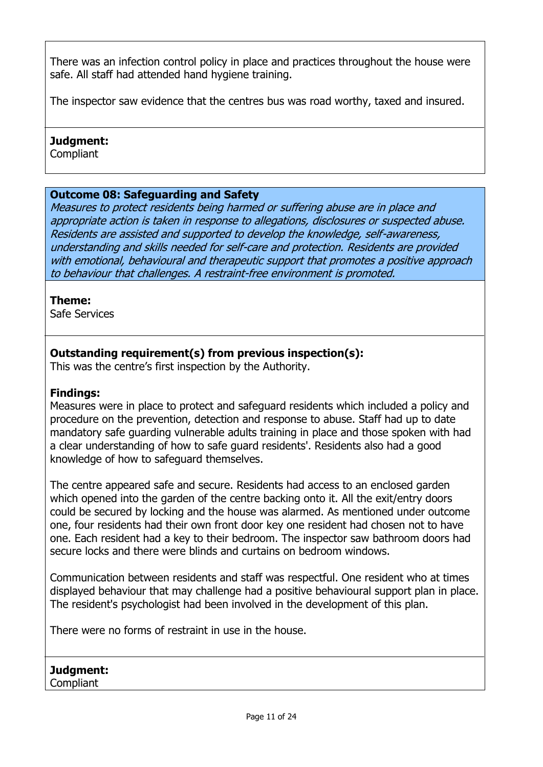There was an infection control policy in place and practices throughout the house were safe. All staff had attended hand hygiene training.

The inspector saw evidence that the centres bus was road worthy, taxed and insured.

## **Judgment:**

**Compliant** 

## **Outcome 08: Safeguarding and Safety**

Measures to protect residents being harmed or suffering abuse are in place and appropriate action is taken in response to allegations, disclosures or suspected abuse. Residents are assisted and supported to develop the knowledge, self-awareness, understanding and skills needed for self-care and protection. Residents are provided with emotional, behavioural and therapeutic support that promotes a positive approach to behaviour that challenges. A restraint-free environment is promoted.

### **Theme:**

Safe Services

# **Outstanding requirement(s) from previous inspection(s):**

This was the centre's first inspection by the Authority.

# **Findings:**

Measures were in place to protect and safeguard residents which included a policy and procedure on the prevention, detection and response to abuse. Staff had up to date mandatory safe guarding vulnerable adults training in place and those spoken with had a clear understanding of how to safe guard residents'. Residents also had a good knowledge of how to safeguard themselves.

The centre appeared safe and secure. Residents had access to an enclosed garden which opened into the garden of the centre backing onto it. All the exit/entry doors could be secured by locking and the house was alarmed. As mentioned under outcome one, four residents had their own front door key one resident had chosen not to have one. Each resident had a key to their bedroom. The inspector saw bathroom doors had secure locks and there were blinds and curtains on bedroom windows.

Communication between residents and staff was respectful. One resident who at times displayed behaviour that may challenge had a positive behavioural support plan in place. The resident's psychologist had been involved in the development of this plan.

There were no forms of restraint in use in the house.

**Judgment: Compliant**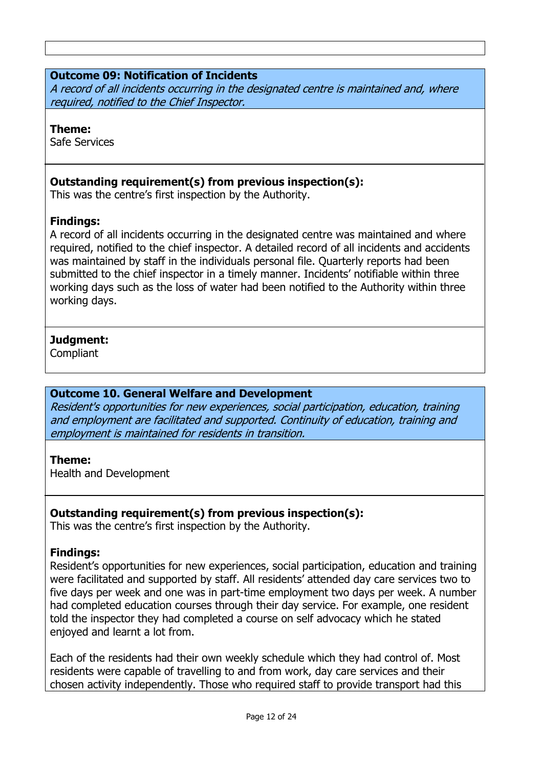## **Outcome 09: Notification of Incidents**

A record of all incidents occurring in the designated centre is maintained and, where required, notified to the Chief Inspector.

#### **Theme:**

Safe Services

### **Outstanding requirement(s) from previous inspection(s):**

This was the centre's first inspection by the Authority.

### **Findings:**

A record of all incidents occurring in the designated centre was maintained and where required, notified to the chief inspector. A detailed record of all incidents and accidents was maintained by staff in the individuals personal file. Quarterly reports had been submitted to the chief inspector in a timely manner. Incidents' notifiable within three working days such as the loss of water had been notified to the Authority within three working days.

### **Judgment:**

**Compliant** 

### **Outcome 10. General Welfare and Development**

Resident's opportunities for new experiences, social participation, education, training and employment are facilitated and supported. Continuity of education, training and employment is maintained for residents in transition.

### **Theme:**

Health and Development

# **Outstanding requirement(s) from previous inspection(s):**

This was the centre's first inspection by the Authority.

### **Findings:**

Resident's opportunities for new experiences, social participation, education and training were facilitated and supported by staff. All residents' attended day care services two to five days per week and one was in part-time employment two days per week. A number had completed education courses through their day service. For example, one resident told the inspector they had completed a course on self advocacy which he stated enjoyed and learnt a lot from.

Each of the residents had their own weekly schedule which they had control of. Most residents were capable of travelling to and from work, day care services and their chosen activity independently. Those who required staff to provide transport had this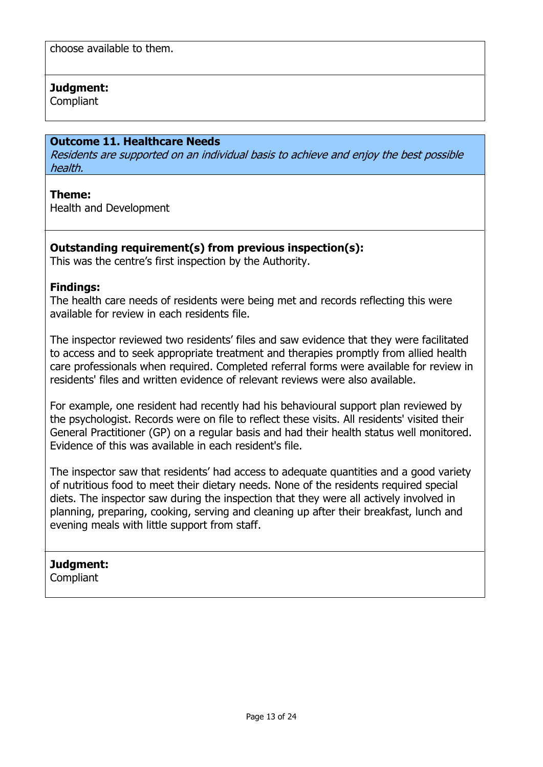choose available to them.

## **Judgment:**

**Compliant** 

## **Outcome 11. Healthcare Needs**

Residents are supported on an individual basis to achieve and enjoy the best possible health.

### **Theme:**

Health and Development

## **Outstanding requirement(s) from previous inspection(s):**

This was the centre's first inspection by the Authority.

### **Findings:**

The health care needs of residents were being met and records reflecting this were available for review in each residents file.

The inspector reviewed two residents' files and saw evidence that they were facilitated to access and to seek appropriate treatment and therapies promptly from allied health care professionals when required. Completed referral forms were available for review in residents' files and written evidence of relevant reviews were also available.

For example, one resident had recently had his behavioural support plan reviewed by the psychologist. Records were on file to reflect these visits. All residents' visited their General Practitioner (GP) on a regular basis and had their health status well monitored. Evidence of this was available in each resident's file.

The inspector saw that residents' had access to adequate quantities and a good variety of nutritious food to meet their dietary needs. None of the residents required special diets. The inspector saw during the inspection that they were all actively involved in planning, preparing, cooking, serving and cleaning up after their breakfast, lunch and evening meals with little support from staff.

# **Judgment:**

Compliant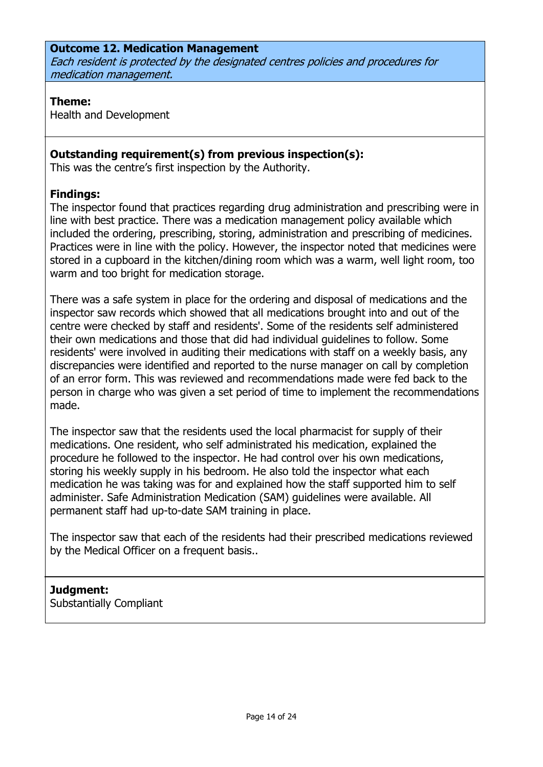## **Outcome 12. Medication Management**

Each resident is protected by the designated centres policies and procedures for medication management.

#### **Theme:**

Health and Development

## **Outstanding requirement(s) from previous inspection(s):**

This was the centre's first inspection by the Authority.

### **Findings:**

The inspector found that practices regarding drug administration and prescribing were in line with best practice. There was a medication management policy available which included the ordering, prescribing, storing, administration and prescribing of medicines. Practices were in line with the policy. However, the inspector noted that medicines were stored in a cupboard in the kitchen/dining room which was a warm, well light room, too warm and too bright for medication storage.

There was a safe system in place for the ordering and disposal of medications and the inspector saw records which showed that all medications brought into and out of the centre were checked by staff and residents'. Some of the residents self administered their own medications and those that did had individual guidelines to follow. Some residents' were involved in auditing their medications with staff on a weekly basis, any discrepancies were identified and reported to the nurse manager on call by completion of an error form. This was reviewed and recommendations made were fed back to the person in charge who was given a set period of time to implement the recommendations made.

The inspector saw that the residents used the local pharmacist for supply of their medications. One resident, who self administrated his medication, explained the procedure he followed to the inspector. He had control over his own medications, storing his weekly supply in his bedroom. He also told the inspector what each medication he was taking was for and explained how the staff supported him to self administer. Safe Administration Medication (SAM) guidelines were available. All permanent staff had up-to-date SAM training in place.

The inspector saw that each of the residents had their prescribed medications reviewed by the Medical Officer on a frequent basis..

### **Judgment:**

Substantially Compliant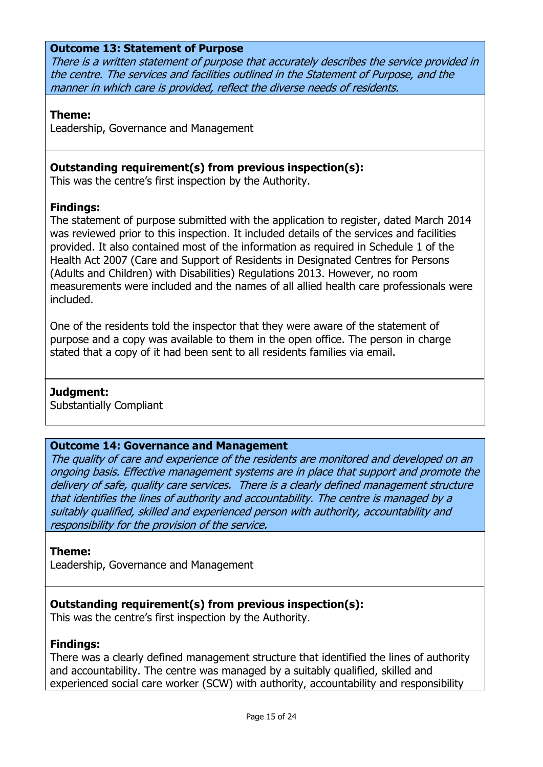#### **Outcome 13: Statement of Purpose**

There is a written statement of purpose that accurately describes the service provided in the centre. The services and facilities outlined in the Statement of Purpose, and the manner in which care is provided, reflect the diverse needs of residents.

#### **Theme:**

Leadership, Governance and Management

## **Outstanding requirement(s) from previous inspection(s):**

This was the centre's first inspection by the Authority.

### **Findings:**

The statement of purpose submitted with the application to register, dated March 2014 was reviewed prior to this inspection. It included details of the services and facilities provided. It also contained most of the information as required in Schedule 1 of the Health Act 2007 (Care and Support of Residents in Designated Centres for Persons (Adults and Children) with Disabilities) Regulations 2013. However, no room measurements were included and the names of all allied health care professionals were included.

One of the residents told the inspector that they were aware of the statement of purpose and a copy was available to them in the open office. The person in charge stated that a copy of it had been sent to all residents families via email.

### **Judgment:**

Substantially Compliant

#### **Outcome 14: Governance and Management**

The quality of care and experience of the residents are monitored and developed on an ongoing basis. Effective management systems are in place that support and promote the delivery of safe, quality care services. There is a clearly defined management structure that identifies the lines of authority and accountability. The centre is managed by a suitably qualified, skilled and experienced person with authority, accountability and responsibility for the provision of the service.

#### **Theme:**

Leadership, Governance and Management

### **Outstanding requirement(s) from previous inspection(s):**

This was the centre's first inspection by the Authority.

#### **Findings:**

There was a clearly defined management structure that identified the lines of authority and accountability. The centre was managed by a suitably qualified, skilled and experienced social care worker (SCW) with authority, accountability and responsibility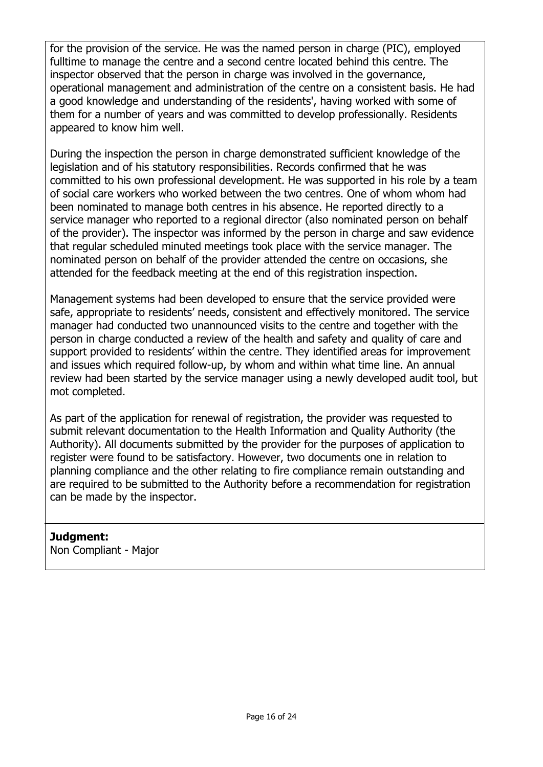for the provision of the service. He was the named person in charge (PIC), employed fulltime to manage the centre and a second centre located behind this centre. The inspector observed that the person in charge was involved in the governance, operational management and administration of the centre on a consistent basis. He had a good knowledge and understanding of the residents', having worked with some of them for a number of years and was committed to develop professionally. Residents appeared to know him well.

During the inspection the person in charge demonstrated sufficient knowledge of the legislation and of his statutory responsibilities. Records confirmed that he was committed to his own professional development. He was supported in his role by a team of social care workers who worked between the two centres. One of whom whom had been nominated to manage both centres in his absence. He reported directly to a service manager who reported to a regional director (also nominated person on behalf of the provider). The inspector was informed by the person in charge and saw evidence that regular scheduled minuted meetings took place with the service manager. The nominated person on behalf of the provider attended the centre on occasions, she attended for the feedback meeting at the end of this registration inspection.

Management systems had been developed to ensure that the service provided were safe, appropriate to residents' needs, consistent and effectively monitored. The service manager had conducted two unannounced visits to the centre and together with the person in charge conducted a review of the health and safety and quality of care and support provided to residents' within the centre. They identified areas for improvement and issues which required follow-up, by whom and within what time line. An annual review had been started by the service manager using a newly developed audit tool, but mot completed.

As part of the application for renewal of registration, the provider was requested to submit relevant documentation to the Health Information and Quality Authority (the Authority). All documents submitted by the provider for the purposes of application to register were found to be satisfactory. However, two documents one in relation to planning compliance and the other relating to fire compliance remain outstanding and are required to be submitted to the Authority before a recommendation for registration can be made by the inspector.

**Judgment:** Non Compliant - Major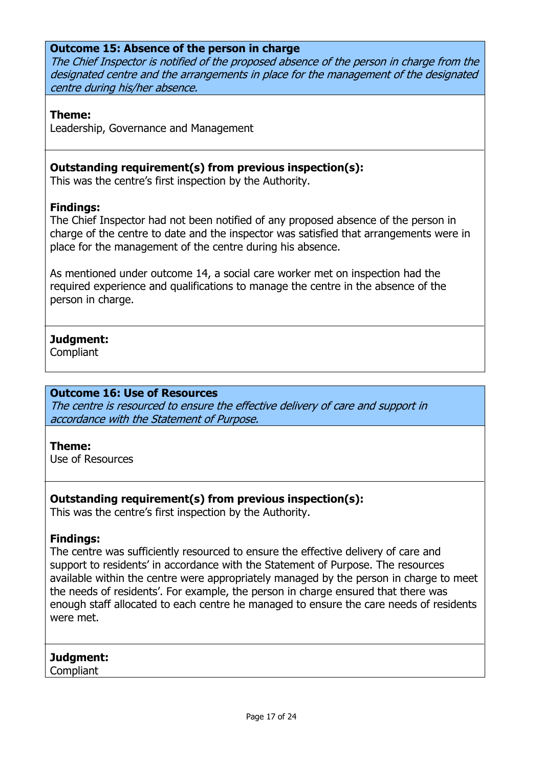#### **Outcome 15: Absence of the person in charge**

The Chief Inspector is notified of the proposed absence of the person in charge from the designated centre and the arrangements in place for the management of the designated centre during his/her absence.

#### **Theme:**

Leadership, Governance and Management

### **Outstanding requirement(s) from previous inspection(s):**

This was the centre's first inspection by the Authority.

#### **Findings:**

The Chief Inspector had not been notified of any proposed absence of the person in charge of the centre to date and the inspector was satisfied that arrangements were in place for the management of the centre during his absence.

As mentioned under outcome 14, a social care worker met on inspection had the required experience and qualifications to manage the centre in the absence of the person in charge.

### **Judgment:**

**Compliant** 

#### **Outcome 16: Use of Resources**

The centre is resourced to ensure the effective delivery of care and support in accordance with the Statement of Purpose.

#### **Theme:**

Use of Resources

### **Outstanding requirement(s) from previous inspection(s):**

This was the centre's first inspection by the Authority.

#### **Findings:**

The centre was sufficiently resourced to ensure the effective delivery of care and support to residents' in accordance with the Statement of Purpose. The resources available within the centre were appropriately managed by the person in charge to meet the needs of residents'. For example, the person in charge ensured that there was enough staff allocated to each centre he managed to ensure the care needs of residents were met.

### **Judgment:**

**Compliant**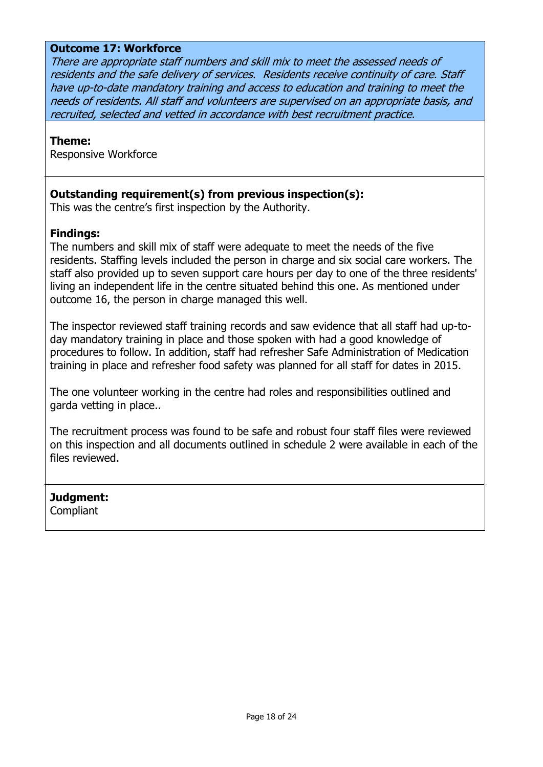## **Outcome 17: Workforce**

There are appropriate staff numbers and skill mix to meet the assessed needs of residents and the safe delivery of services. Residents receive continuity of care. Staff have up-to-date mandatory training and access to education and training to meet the needs of residents. All staff and volunteers are supervised on an appropriate basis, and recruited, selected and vetted in accordance with best recruitment practice.

#### **Theme:**

Responsive Workforce

#### **Outstanding requirement(s) from previous inspection(s):**

This was the centre's first inspection by the Authority.

#### **Findings:**

The numbers and skill mix of staff were adequate to meet the needs of the five residents. Staffing levels included the person in charge and six social care workers. The staff also provided up to seven support care hours per day to one of the three residents' living an independent life in the centre situated behind this one. As mentioned under outcome 16, the person in charge managed this well.

The inspector reviewed staff training records and saw evidence that all staff had up-today mandatory training in place and those spoken with had a good knowledge of procedures to follow. In addition, staff had refresher Safe Administration of Medication training in place and refresher food safety was planned for all staff for dates in 2015.

The one volunteer working in the centre had roles and responsibilities outlined and garda vetting in place..

The recruitment process was found to be safe and robust four staff files were reviewed on this inspection and all documents outlined in schedule 2 were available in each of the files reviewed.

# **Judgment:**

**Compliant**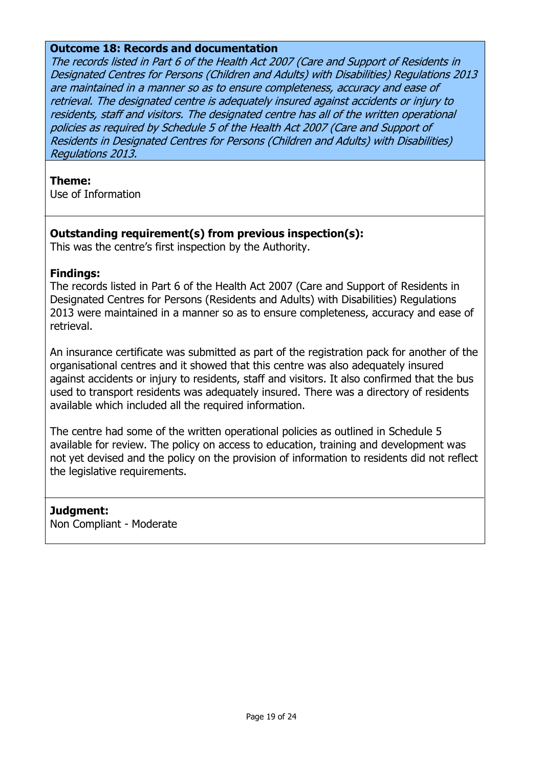#### **Outcome 18: Records and documentation**

The records listed in Part 6 of the Health Act 2007 (Care and Support of Residents in Designated Centres for Persons (Children and Adults) with Disabilities) Regulations 2013 are maintained in a manner so as to ensure completeness, accuracy and ease of retrieval. The designated centre is adequately insured against accidents or injury to residents, staff and visitors. The designated centre has all of the written operational policies as required by Schedule 5 of the Health Act 2007 (Care and Support of Residents in Designated Centres for Persons (Children and Adults) with Disabilities) Regulations 2013.

#### **Theme:**

Use of Information

#### **Outstanding requirement(s) from previous inspection(s):**

This was the centre's first inspection by the Authority.

#### **Findings:**

The records listed in Part 6 of the Health Act 2007 (Care and Support of Residents in Designated Centres for Persons (Residents and Adults) with Disabilities) Regulations 2013 were maintained in a manner so as to ensure completeness, accuracy and ease of retrieval.

An insurance certificate was submitted as part of the registration pack for another of the organisational centres and it showed that this centre was also adequately insured against accidents or injury to residents, staff and visitors. It also confirmed that the bus used to transport residents was adequately insured. There was a directory of residents available which included all the required information.

The centre had some of the written operational policies as outlined in Schedule 5 available for review. The policy on access to education, training and development was not yet devised and the policy on the provision of information to residents did not reflect the legislative requirements.

### **Judgment:**

Non Compliant - Moderate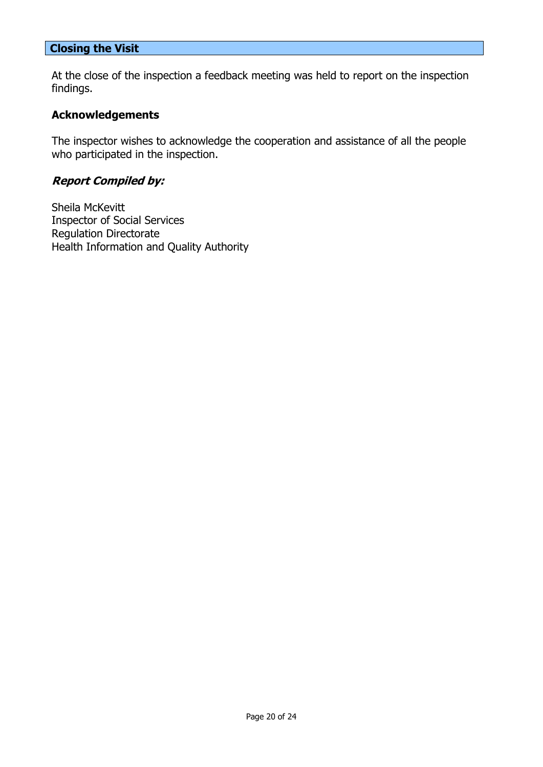## **Closing the Visit**

At the close of the inspection a feedback meeting was held to report on the inspection findings.

#### **Acknowledgements**

The inspector wishes to acknowledge the cooperation and assistance of all the people who participated in the inspection.

### **Report Compiled by:**

Sheila McKevitt Inspector of Social Services Regulation Directorate Health Information and Quality Authority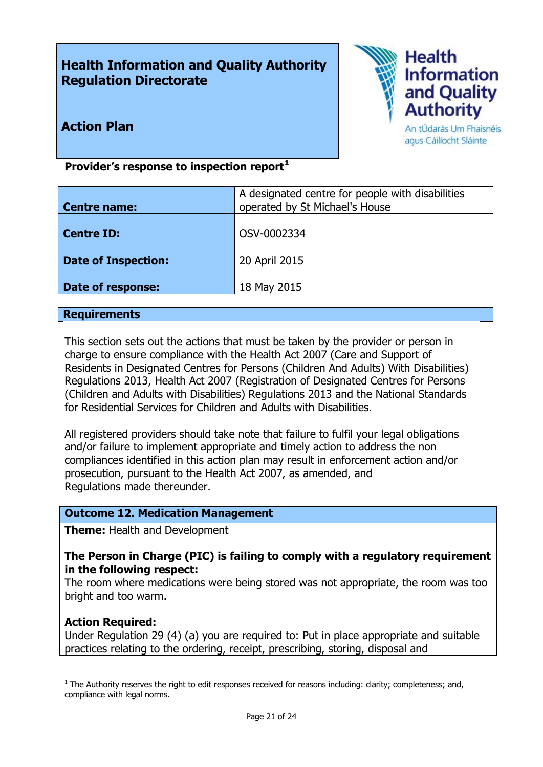# **Health Information and Quality Authority Regulation Directorate**



# **Action Plan**

An tÚdarás Um Fhaisnéis agus Cáilíocht Sláinte

## **Provider's response to inspection report<sup>1</sup>**

| Centre name:               | A designated centre for people with disabilities<br>operated by St Michael's House |
|----------------------------|------------------------------------------------------------------------------------|
| <b>Centre ID:</b>          | OSV-0002334                                                                        |
| <b>Date of Inspection:</b> | 20 April 2015                                                                      |
| Date of response:          | 18 May 2015                                                                        |

#### **Requirements**

This section sets out the actions that must be taken by the provider or person in charge to ensure compliance with the Health Act 2007 (Care and Support of Residents in Designated Centres for Persons (Children And Adults) With Disabilities) Regulations 2013, Health Act 2007 (Registration of Designated Centres for Persons (Children and Adults with Disabilities) Regulations 2013 and the National Standards for Residential Services for Children and Adults with Disabilities.

All registered providers should take note that failure to fulfil your legal obligations and/or failure to implement appropriate and timely action to address the non compliances identified in this action plan may result in enforcement action and/or prosecution, pursuant to the Health Act 2007, as amended, and Regulations made thereunder.

#### **Outcome 12. Medication Management**

**Theme:** Health and Development

### **The Person in Charge (PIC) is failing to comply with a regulatory requirement in the following respect:**

The room where medications were being stored was not appropriate, the room was too bright and too warm.

#### **Action Required:**

 $\overline{a}$ 

Under Regulation 29 (4) (a) you are required to: Put in place appropriate and suitable practices relating to the ordering, receipt, prescribing, storing, disposal and

 $<sup>1</sup>$  The Authority reserves the right to edit responses received for reasons including: clarity; completeness; and,</sup> compliance with legal norms.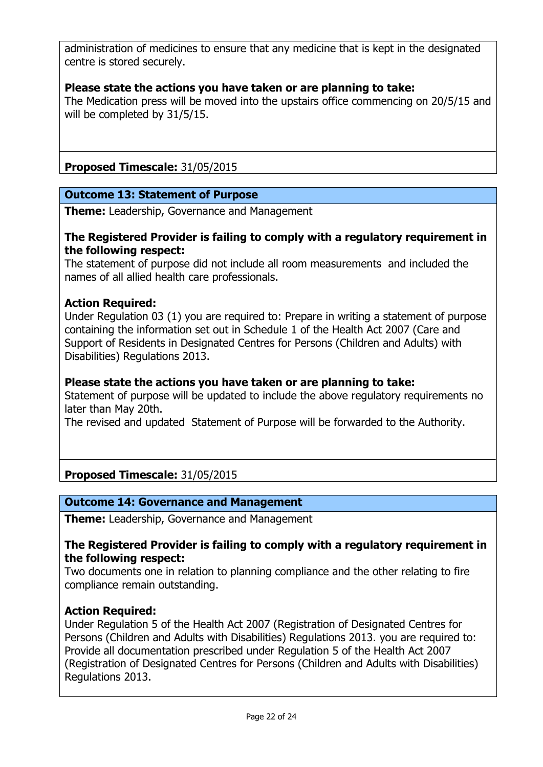administration of medicines to ensure that any medicine that is kept in the designated centre is stored securely.

## **Please state the actions you have taken or are planning to take:**

The Medication press will be moved into the upstairs office commencing on 20/5/15 and will be completed by 31/5/15.

**Proposed Timescale:** 31/05/2015

## **Outcome 13: Statement of Purpose**

**Theme:** Leadership, Governance and Management

## **The Registered Provider is failing to comply with a regulatory requirement in the following respect:**

The statement of purpose did not include all room measurements and included the names of all allied health care professionals.

### **Action Required:**

Under Regulation 03 (1) you are required to: Prepare in writing a statement of purpose containing the information set out in Schedule 1 of the Health Act 2007 (Care and Support of Residents in Designated Centres for Persons (Children and Adults) with Disabilities) Regulations 2013.

#### **Please state the actions you have taken or are planning to take:**

Statement of purpose will be updated to include the above regulatory requirements no later than May 20th.

The revised and updated Statement of Purpose will be forwarded to the Authority.

### **Proposed Timescale:** 31/05/2015

### **Outcome 14: Governance and Management**

**Theme:** Leadership, Governance and Management

#### **The Registered Provider is failing to comply with a regulatory requirement in the following respect:**

Two documents one in relation to planning compliance and the other relating to fire compliance remain outstanding.

### **Action Required:**

Under Regulation 5 of the Health Act 2007 (Registration of Designated Centres for Persons (Children and Adults with Disabilities) Regulations 2013. you are required to: Provide all documentation prescribed under Regulation 5 of the Health Act 2007 (Registration of Designated Centres for Persons (Children and Adults with Disabilities) Regulations 2013.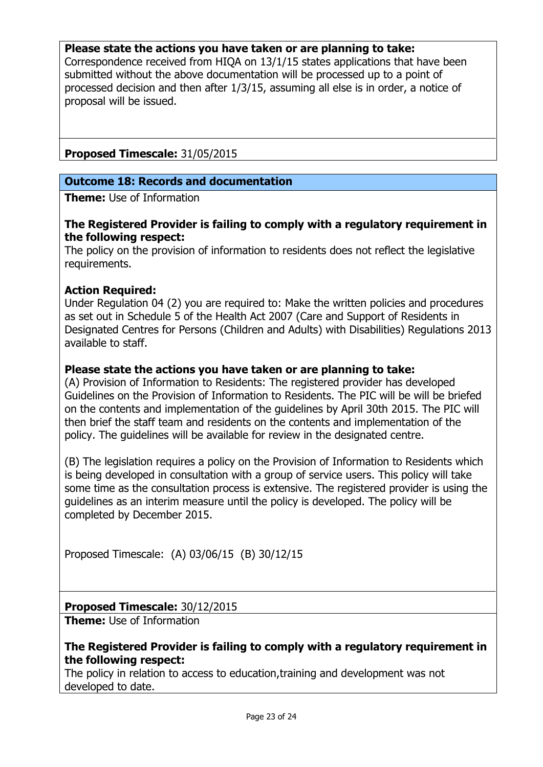#### **Please state the actions you have taken or are planning to take:**

Correspondence received from HIQA on 13/1/15 states applications that have been submitted without the above documentation will be processed up to a point of processed decision and then after 1/3/15, assuming all else is in order, a notice of proposal will be issued.

### **Proposed Timescale:** 31/05/2015

#### **Outcome 18: Records and documentation**

**Theme:** Use of Information

#### **The Registered Provider is failing to comply with a regulatory requirement in the following respect:**

The policy on the provision of information to residents does not reflect the legislative requirements.

#### **Action Required:**

Under Regulation 04 (2) you are required to: Make the written policies and procedures as set out in Schedule 5 of the Health Act 2007 (Care and Support of Residents in Designated Centres for Persons (Children and Adults) with Disabilities) Regulations 2013 available to staff.

#### **Please state the actions you have taken or are planning to take:**

(A) Provision of Information to Residents: The registered provider has developed Guidelines on the Provision of Information to Residents. The PIC will be will be briefed on the contents and implementation of the guidelines by April 30th 2015. The PIC will then brief the staff team and residents on the contents and implementation of the policy. The guidelines will be available for review in the designated centre.

(B) The legislation requires a policy on the Provision of Information to Residents which is being developed in consultation with a group of service users. This policy will take some time as the consultation process is extensive. The registered provider is using the guidelines as an interim measure until the policy is developed. The policy will be completed by December 2015.

Proposed Timescale: (A) 03/06/15 (B) 30/12/15

### **Proposed Timescale:** 30/12/2015

**Theme:** Use of Information

#### **The Registered Provider is failing to comply with a regulatory requirement in the following respect:**

The policy in relation to access to education,training and development was not developed to date.